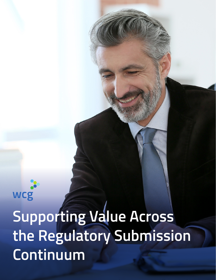wcg **Supporting Value Across the Regulatory Submission Continuum**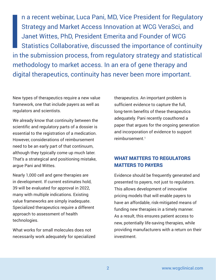**I**<br>Int n a recent webinar, Luca Pani, MD, Vice President for Regulatory Strategy and Market Access Innovation at WCG VeraSci, and Janet Wittes, PhD, President Emerita and Founder of WCG Statistics Collaborative, discussed the importance of continuity in the submission process, from regulatory strategy and statistical methodology to market access. In an era of gene therapy and digital therapeutics, continuity has never been more important.

New types of therapeutics require a new value framework, one that include payers as well as regulators and scientists.

We already know that continuity between the scientific and regulatory parts of a dossier is essential to the registration of a medication. However, considerations of reimbursement need to be an early part of that continuum, although they typically come up much later. That's a strategical and positioning mistake, argue Pani and Wittes.

Nearly 1,000 cell and gene therapies are in development. If current estimates hold, 39 will be evaluated for approval in 2022, many with multiple indications. Existing value frameworks are simply inadequate. Specialized therapeutics require a different approach to assessment of health technologies.

What works for small molecules does not necessarily work adequately for specialized therapeutics. An important problem is sufficient evidence to capture the full, long-term benefits of these therapeutics adequately. Pani recently coauthored a paper that argues for the ongoing generation and incorporation of evidence to support reimbursement.<sup>1</sup>

# WHAT MATTERS TO REGULATORS MATTERS TO PAYERS

Evidence should be frequently generated and presented to payers, not just to regulators. This allows development of innovative pricing models that will enable payers to have an affordable, risk-mitigated means of funding new therapies in a timely manner. As a result, this ensures patient access to new, potentially life-saving therapies, while providing manufacturers with a return on their investment.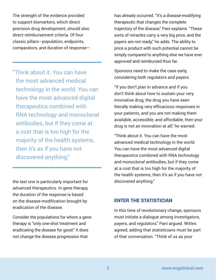The strength of the evidence provided to support biomarkers, which direct precision drug development, should also direct reimbursement criteria. Of four classic pillars—population, endpoints, comparators, and duration of response—

"Think about it. You can have the most advanced medical technology in the world. You can have the most advanced digital therapeutics combined with RNA technology and monoclonal antibodies, but if they come at a cost that is too high for the majority of the health systems, then it's as if you have not discovered anything."

the last one is particularly important for advanced therapeutics. In gene therapy, the duration of the response is based on the disease-modification brought by eradication of the disease.

Consider the populations for whom a gene therapy is "only one-shot treatment and eradicating the disease for good." It does not change the disease progression that

has already occurred. "It's a disease-modifying therapeutic that changes the complete trajectory of the disease," Pani explains. "These sorts of miracles carry a very big price, and the payers are not ready," he adds. The ability to price a product with such potential cannot be simply compared to anything else we have ever approved and reimbursed thus far.

Sponsors need to make the case early, considering both regulators and payers.

"If you don't plan in advance and if you don't think about how to sustain your very innovative drug, the drug you have seen literally making very efficacious responses in your patients, and you are not making them available, accessible, and affordable, then your drug is not an innovation at all," he warned.

"Think about it. You can have the most advanced medical technology in the world. You can have the most advanced digital therapeutics combined with RNA technology and monoclonal antibodies, but if they come at a cost that is too high for the majority of the health systems, then it's as if you have not discovered anything."

### ENTER THE STATISTICIAN

In this time of revolutionary change, sponsors must initiate a dialogue among investigators, payers, and regulators," Pani argued. Wittes agreed, adding that statisticians must be part of that conversation. "Think of us as your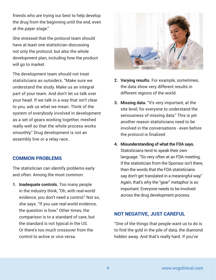friends who are trying our best to help develop the drug from the beginning until the end, even at the payer stage."

She stressed that the protocol team should have at least one statistician discussing not only the protocol, but also the whole development plan, including how the product will go to market.

The development team should not treat statisticians as outsiders. "Make sure we understand the study. Make us an integral part of your team. And don't let us talk over your head. If we talk in a way that isn't clear to you, ask us what we mean. Think of the system of everybody involved in development as a set of gears working together, meshed really well so that the whole process works smoothly." Drug development is not an assembly line or a relay race.

# COMMON PROBLEMS

The statistician can identify problems early and often. Among the most common:

**1. Inadequate controls.** Too many people in the industry think, "Oh, with real-world evidence, you don't need a control." Not so, she says. "If you use real-world evidence, the question is how." Other times, the comparison is to a standard of care, but the standard is not typical in the US. Or there's too much crossover from the control to active or vice versa.



- **2. Varying results.** For example, sometimes, the data show very different results in different regions of the world.
- **3. Missing data.** "It's very important, at the site level, for everyone to understand the seriousness of missing data." This is yet another reason statisticians need to be involved in the conversations - even before the protocol is finalized.
- **4. Misunderstanding of what the FDA says.**  Statisticians tend to speak their own language. "So very often at an FDA meeting, if the statistician from the Sponsor isn't there, then the words that the FDA statisticians say don't get translated in a meaningful way." Again, that's why the "gear" metaphor is so important: Everyone needs to be involved across the drug development process.

# NOT NEGATIVE, JUST CAREFUL

"One of the things that people want us to do is to find the gold in the pile of data, the diamond hidden away. And that's really hard. If you've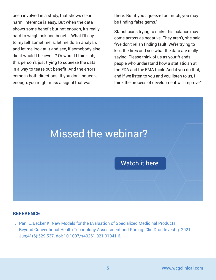been involved in a study, that shows clear harm, inference is easy. But when the data shows some benefit but not enough, it's really hard to weigh risk and benefit. What I'll say to myself sometime is, let me do an analysis and let me look at it and see, if somebody else did it would I believe it? Or would I think, oh, this person's just trying to squeeze the data in a way to tease out benefit. And the errors come in both directions. If you don't squeeze enough, you might miss a signal that was

there. But if you squeeze too much, you may be finding false gems."

Statisticians trying to strike this balance may come across as negative. They aren't, she said. "We don't relish finding fault. We're trying to kick the tires and see what the data are really saying. Please think of us as your friends people who understand how a statistician at the FDA and the EMA think. And if you do that, and if we listen to you and you listen to us, I think the process of development will improve."



### **REFERENCE**

1. Pani L, Becker K. New Models for the Evaluation of Specialized Medicinal Products: Beyond Conventional Health Technology Assessment and Pricing. Clin Drug Investig. 2021 Jun;41(6):529-537. doi: 10.1007/s40261-021-01041-6.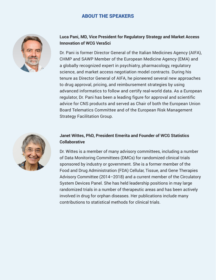# ABOUT THE SPEAKERS



#### **Luca Pani, MD, Vice President for Regulatory Strategy and Market Access Innovation of WCG VeraSci**

Dr. Pani is former Director General of the Italian Medicines Agency (AIFA), CHMP and SAWP Member of the European Medicine Agency (EMA) and a globally recognized expert in psychiatry, pharmacology, regulatory science, and market access negotiation model contracts. During his tenure as Director General of AIFA, he pioneered several new approaches to drug approval, pricing, and reimbursement strategies by using advanced informatics to follow and certify real-world data. As a European regulator, Dr. Pani has been a leading figure for approval and scientific advice for CNS products and served as Chair of both the European Union Board Telematics Committee and of the European Risk Management Strategy Facilitation Group.



#### **Janet Wittes, PhD, President Emerita and Founder of WCG Statistics Collaborative**

Dr. Wittes is a member of many advisory committees, including a number of Data Monitoring Committees (DMCs) for randomized clinical trials sponsored by industry or government. She is a former member of the Food and Drug Administration (FDA) Cellular, Tissue, and Gene Therapies Advisory Committee (2014–2018) and a current member of the Circulatory System Devices Panel. She has held leadership positions in may large randomized trials in a number of therapeutic areas and has been actively involved in drug for orphan diseases. Her publications include many contributions to statistical methods for clinical trials.